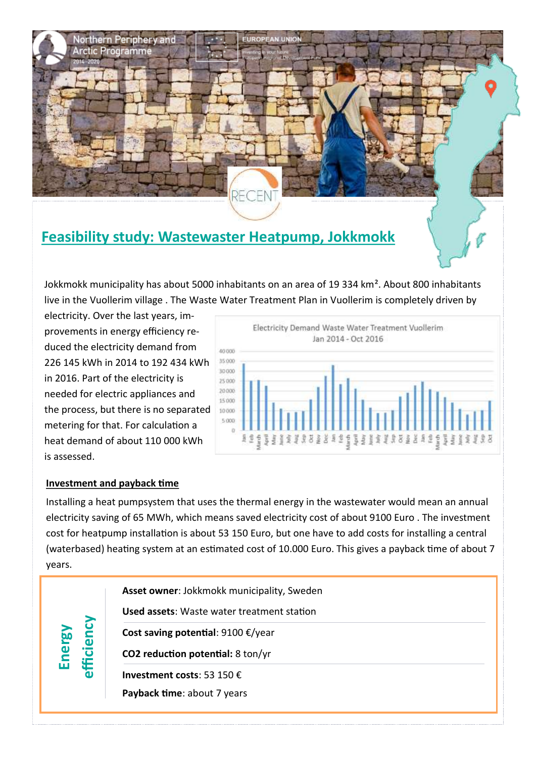

# **Feasibility study: Wastewaster Heatpump, Jokkmokk**

Jokkmokk municipality has about 5000 inhabitants on an area of 19 334 km². About 800 inhabitants live in the Vuollerim village . The Waste Water Treatment Plan in Vuollerim is completely driven by

electricity. Over the last years, improvements in energy efficiency reduced the electricity demand from 226 145 kWh in 2014 to 192 434 kWh in 2016. Part of the electricity is needed for electric appliances and the process, but there is no separated metering for that. For calculation a heat demand of about 110 000 kWh is assessed.



## **Investment and payback time**

Installing a heat pumpsystem that uses the thermal energy in the wastewater would mean an annual electricity saving of 65 MWh, which means saved electricity cost of about 9100 Euro . The investment cost for heatpump installation is about 53 150 Euro, but one have to add costs for installing a central (waterbased) heating system at an estimated cost of 10.000 Euro. This gives a payback time of about 7 years.

| 2<br>nerg<br>$\overline{\mathbf{C}}$<br>$\overline{C}$<br>ω | Asset owner: Jokkmokk municipality, Sweden        |
|-------------------------------------------------------------|---------------------------------------------------|
|                                                             | <b>Used assets:</b> Waste water treatment station |
|                                                             | Cost saving potential: $9100 \text{ E}/year$      |
|                                                             | CO2 reduction potential: 8 ton/yr                 |
|                                                             | Investment costs: 53 150 $\epsilon$               |
|                                                             | Payback time: about 7 years                       |